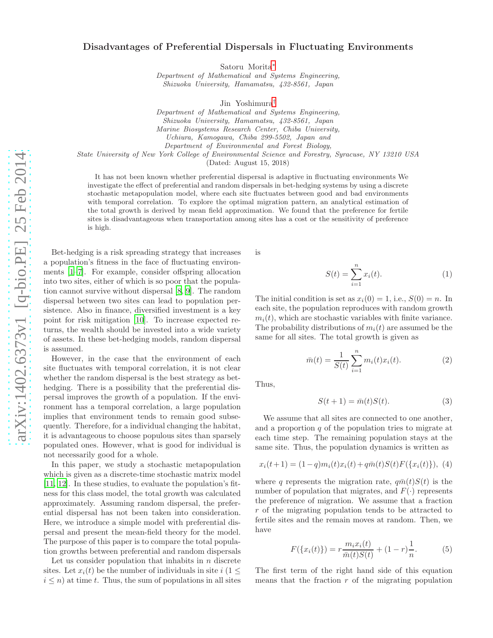## Disadvantages of Preferential Dispersals in Fluctuating Environments

Satoru Morita[∗](#page-3-0)

Department of Mathematical and Systems Engineering, Shizuoka University, Hamamatsu, 432-8561, Japan

Jin Yoshimura[†](#page-3-1)

Department of Mathematical and Systems Engineering, Shizuoka University, Hamamatsu, 432-8561, Japan Marine Biosystems Research Center, Chiba University, Uchiura, Kamogawa, Chiba 299-5502, Japan and Department of Environmental and Forest Biology, State University of New York College of Environmental Science and Forestry, Syracuse, NY 13210 USA

(Dated: August 15, 2018)

It has not been known whether preferential dispersal is adaptive in fluctuating environments We investigate the effect of preferential and random dispersals in bet-hedging systems by using a discrete stochastic metapopulation model, where each site fluctuates between good and bad environments with temporal correlation. To explore the optimal migration pattern, an analytical estimation of the total growth is derived by mean field approximation. We found that the preference for fertile sites is disadvantageous when transportation among sites has a cost or the sensitivity of preference is high.

Bet-hedging is a risk spreading strategy that increases a population's fitness in the face of fluctuating environments [\[1](#page-3-2)[–7\]](#page-3-3). For example, consider offspring allocation into two sites, either of which is so poor that the population cannot survive without dispersal [\[8](#page-3-4), [9\]](#page-3-5). The random dispersal between two sites can lead to population persistence. Also in finance, diversified investment is a key point for risk mitigation [\[10\]](#page-3-6). To increase expected returns, the wealth should be invested into a wide variety of assets. In these bet-hedging models, random dispersal is assumed.

However, in the case that the environment of each site fluctuates with temporal correlation, it is not clear whether the random dispersal is the best strategy as bethedging. There is a possibility that the preferential dispersal improves the growth of a population. If the environment has a temporal correlation, a large population implies that environment tends to remain good subsequently. Therefore, for a individual changing the habitat, it is advantageous to choose populous sites than sparsely populated ones. However, what is good for individual is not necessarily good for a whole.

In this paper, we study a stochastic metapopulation which is given as a discrete-time stochastic matrix model [\[11,](#page-3-7) [12](#page-3-8)]. In these studies, to evaluate the population's fitness for this class model, the total growth was calculated approximately. Assuming random dispersal, the preferential dispersal has not been taken into consideration. Here, we introduce a simple model with preferential dispersal and present the mean-field theory for the model. The purpose of this paper is to compare the total population growths between preferential and random dispersals

Let us consider population that inhabits in  $n$  discrete sites. Let  $x_i(t)$  be the number of individuals in site  $i$  (1  $\leq$  $i \leq n$ ) at time t. Thus, the sum of populations in all sites

is

$$
S(t) = \sum_{i=1}^{n} x_i(t).
$$
 (1)

The initial condition is set as  $x_i(0) = 1$ , i.e.,  $S(0) = n$ . In each site, the population reproduces with random growth  $m_i(t)$ , which are stochastic variables with finite variance. The probability distributions of  $m_i(t)$  are assumed be the same for all sites. The total growth is given as

<span id="page-0-3"></span>
$$
\bar{m}(t) = \frac{1}{S(t)} \sum_{i=1}^{n} m_i(t) x_i(t).
$$
 (2)

Thus,

<span id="page-0-1"></span>
$$
S(t+1) = \bar{m}(t)S(t). \tag{3}
$$

We assume that all sites are connected to one another, and a proportion  $q$  of the population tries to migrate at each time step. The remaining population stays at the same site. Thus, the population dynamics is written as

<span id="page-0-0"></span>
$$
x_i(t+1) = (1-q)m_i(t)x_i(t) + q\bar{m}(t)S(t)F(\lbrace x_i(t)\rbrace),
$$
 (4)

where q represents the migration rate,  $q\bar{m}(t)S(t)$  is the number of population that migrates, and  $F(\cdot)$  represents the preference of migration. We assume that a fraction r of the migrating population tends to be attracted to fertile sites and the remain moves at random. Then, we have

<span id="page-0-2"></span>
$$
F({xi(t)}) = r \frac{m_i x_i(t)}{\bar{m}(t)S(t)} + (1 - r)\frac{1}{n}.
$$
 (5)

The first term of the right hand side of this equation means that the fraction  $r$  of the migrating population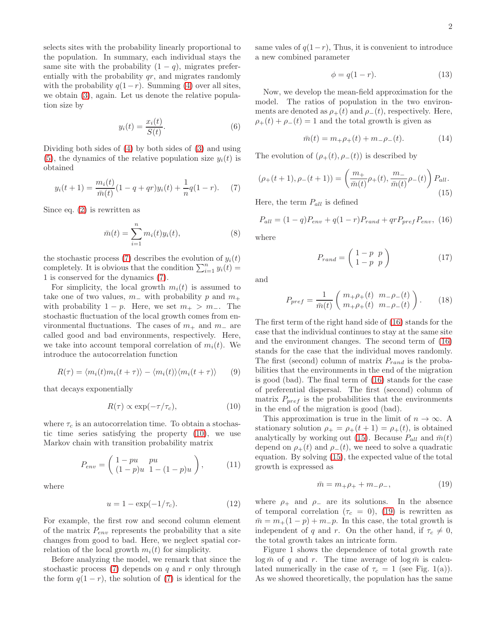selects sites with the probability linearly proportional to the population. In summary, each individual stays the same site with the probability  $(1 - q)$ , migrates preferentially with the probability  $qr$ , and migrates randomly with the probability  $q(1-r)$ . Summing [\(4\)](#page-0-0) over all sites, we obtain [\(3\)](#page-0-1), again. Let us denote the relative population size by

$$
y_i(t) = \frac{x_i(t)}{S(t)}.\t\t(6)
$$

Dividing both sides of [\(4\)](#page-0-0) by both sides of [\(3\)](#page-0-1) and using [\(5\)](#page-0-2), the dynamics of the relative population size  $y_i(t)$  is obtained

<span id="page-1-0"></span>
$$
y_i(t+1) = \frac{m_i(t)}{\bar{m}(t)}(1-q+qr)y_i(t) + \frac{1}{n}q(1-r).
$$
 (7)

Since eq. [\(2\)](#page-0-3) is rewritten as

$$
\bar{m}(t) = \sum_{i=1}^{n} m_i(t) y_i(t),
$$
\n(8)

the stochastic process [\(7\)](#page-1-0) describes the evolution of  $y_i(t)$ completely. It is obvious that the condition  $\sum_{i=1}^{n} y_i(t) =$ 1 is conserved for the dynamics [\(7\)](#page-1-0).

For simplicity, the local growth  $m_i(t)$  is assumed to take one of two values,  $m_-\,$  with probability p and  $m_+$ with probability  $1 - p$ . Here, we set  $m_+ > m_-$ . The stochastic fluctuation of the local growth comes from environmental fluctuations. The cases of  $m_+$  and  $m_-$  are called good and bad environments, respectively. Here, we take into account temporal correlation of  $m_i(t)$ . We introduce the autocorrelation function

$$
R(\tau) = \langle m_i(t)m_i(t+\tau) \rangle - \langle m_i(t) \rangle \langle m_i(t+\tau) \rangle \qquad (9)
$$

that decays exponentially

<span id="page-1-1"></span>
$$
R(\tau) \propto \exp(-\tau/\tau_c),\tag{10}
$$

where  $\tau_c$  is an autocorrelation time. To obtain a stochastic time series satisfying the property [\(10\)](#page-1-1), we use Markov chain with transition probability matrix

$$
P_{env} = \left(\begin{array}{cc} 1 - pu & pu \\ (1 - p)u & 1 - (1 - p)u \end{array}\right), \quad (11)
$$

where

$$
u = 1 - \exp(-1/\tau_c).
$$
 (12)

For example, the first row and second column element of the matrix  $P_{env}$  represents the probability that a site changes from good to bad. Here, we neglect spatial correlation of the local growth  $m_i(t)$  for simplicity.

Before analyzing the model, we remark that since the stochastic process  $(7)$  depends on q and r only through the form  $q(1 - r)$ , the solution of [\(7\)](#page-1-0) is identical for the

same vales of  $q(1-r)$ , Thus, it is convenient to introduce a new combined parameter

$$
\phi = q(1 - r). \tag{13}
$$

Now, we develop the mean-field approximation for the model. The ratios of population in the two environments are denoted as  $\rho_+(t)$  and  $\rho_-(t)$ , respectively. Here,  $\rho_+(t) + \rho_-(t) = 1$  and the total growth is given as

$$
\bar{m}(t) = m_+\rho_+(t) + m_-\rho_-(t). \tag{14}
$$

The evolution of  $(\rho_+(t), \rho_-(t))$  is described by

<span id="page-1-3"></span>
$$
(\rho_{+}(t+1), \rho_{-}(t+1)) = \left(\frac{m_{+}}{\bar{m}(t)}\rho_{+}(t), \frac{m_{-}}{\bar{m}(t)}\rho_{-}(t)\right) P_{all}.
$$
\n(15)

Here, the term  $P_{all}$  is defined

<span id="page-1-2"></span>
$$
P_{all} = (1 - q)P_{env} + q(1 - r)P_{rand} + qrP_{pref}P_{env}, (16)
$$

where

$$
P_{rand} = \left(\begin{array}{cc} 1-p & p \\ 1-p & p \end{array}\right) \tag{17}
$$

and

$$
P_{pref} = \frac{1}{\bar{m}(t)} \left( \begin{array}{cc} m_+\rho_+(t) & m_-\rho_-(t) \\ m_+\rho_+(t) & m_-\rho_-(t) \end{array} \right). \tag{18}
$$

The first term of the right hand side of [\(16\)](#page-1-2) stands for the case that the individual continues to stay at the same site and the environment changes. The second term of [\(16\)](#page-1-2) stands for the case that the individual moves randomly. The first (second) column of matrix  $P_{rand}$  is the probabilities that the environments in the end of the migration is good (bad). The final term of [\(16\)](#page-1-2) stands for the case of preferential dispersal. The first (second) column of matrix  $P_{pref}$  is the probabilities that the environments in the end of the migration is good (bad).

This approximation is true in the limit of  $n \to \infty$ . A stationary solution  $\rho_+ = \rho_+(t+1) = \rho_+(t)$ , is obtained analytically by working out [\(15\)](#page-1-3). Because  $P_{all}$  and  $\bar{m}(t)$ depend on  $\rho_+(t)$  and  $\rho_-(t)$ , we need to solve a quadratic equation. By solving [\(15\)](#page-1-3), the expected value of the total growth is expressed as

<span id="page-1-4"></span>
$$
\bar{m} = m_+\rho_+ + m_-\rho_-, \tag{19}
$$

where  $\rho_+$  and  $\rho_-$  are its solutions. In the absence of temporal correlation ( $\tau_c = 0$ ), [\(19\)](#page-1-4) is rewritten as  $\bar{m} = m_+(1-p) + m_-p$ . In this case, the total growth is independent of q and r. On the other hand, if  $\tau_c \neq 0$ , the total growth takes an intricate form.

Figure 1 shows the dependence of total growth rate  $\log \bar{m}$  of q and r. The time average of  $\log \bar{m}$  is calculated numerically in the case of  $\tau_c = 1$  (see Fig. 1(a)). As we showed theoretically, the population has the same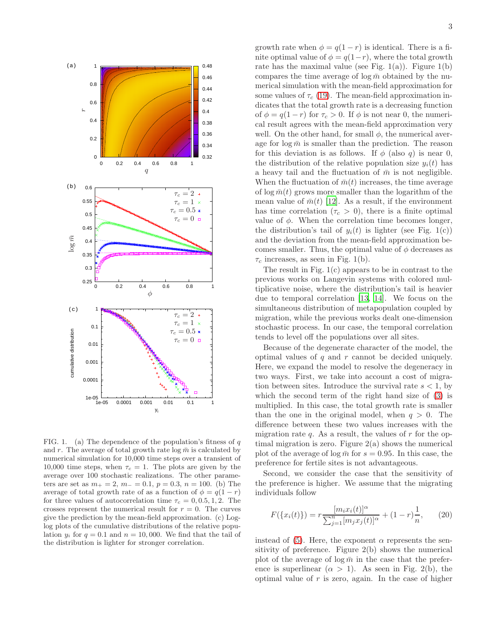

replacements

FIG. 1. (a) The dependence of the population's fitness of  $q$ and r. The average of total growth rate  $\log \bar{m}$  is calculated by numerical simulation for 10,000 time steps over a transient of 10,000 time steps, when  $\tau_c = 1$ . The plots are given by the average over 100 stochastic realizations. The other parameters are set as  $m_{+} = 2$ ,  $m_{-} = 0.1$ ,  $p = 0.3$ ,  $n = 100$ . (b) The average of total growth rate of as a function of  $\phi = q(1 - r)$ for three values of autocorrelation time  $\tau_c = 0, 0.5, 1, 2$ . The crosses represent the numerical result for  $r = 0$ . The curves give the prediction by the mean-field approximation. (c) Loglog plots of the cumulative distributions of the relative population  $y_i$  for  $q = 0.1$  and  $n = 10,000$ . We find that the tail of the distribution is lighter for stronger correlation.

growth rate when  $\phi = q(1 - r)$  is identical. There is a finite optimal value of  $\phi = q(1-r)$ , where the total growth rate has the maximal value (see Fig.  $1(a)$ ). Figure  $1(b)$ compares the time average of  $\log \bar{m}$  obtained by the numerical simulation with the mean-field approximation for some values of  $\tau_c$  [\(19\)](#page-1-4). The mean-field approximation indicates that the total growth rate is a decreasing function of  $\phi = q(1 - r)$  for  $\tau_c > 0$ . If  $\phi$  is not near 0, the numerical result agrees with the mean-field approximation very well. On the other hand, for small  $\phi$ , the numerical average for  $\log \bar{m}$  is smaller than the prediction. The reason for this deviation is as follows. If  $\phi$  (also q) is near 0, the distribution of the relative population size  $y_i(t)$  has a heavy tail and the fluctuation of  $\bar{m}$  is not negligible. When the fluctuation of  $\bar{m}(t)$  increases, the time average of  $\log \bar{m}(t)$  grows more smaller than the logarithm of the mean value of  $\bar{m}(t)$  [\[12](#page-3-8)]. As a result, if the environment has time correlation ( $\tau_c > 0$ ), there is a finite optimal value of  $\phi$ . When the correlation time becomes longer, the distribution's tail of  $y_i(t)$  is lighter (see Fig. 1(c)) and the deviation from the mean-field approximation becomes smaller. Thus, the optimal value of  $\phi$  decreases as  $\tau_c$  increases, as seen in Fig. 1(b).

The result in Fig. 1(c) appears to be in contrast to the previous works on Langevin systems with colored multiplicative noise, where the distribution's tail is heavier due to temporal correlation [\[13,](#page-3-9) [14\]](#page-3-10). We focus on the simultaneous distribution of metapopulation coupled by migration, while the previous works dealt one-dimension stochastic process. In our case, the temporal correlation tends to level off the populations over all sites.

Because of the degenerate character of the model, the optimal values of  $q$  and  $r$  cannot be decided uniquely. Here, we expand the model to resolve the degeneracy in two ways. First, we take into account a cost of migration between sites. Introduce the survival rate  $s < 1$ , by which the second term of the right hand size of [\(3\)](#page-0-1) is multiplied. In this case, the total growth rate is smaller than the one in the original model, when  $q > 0$ . The difference between these two values increases with the migration rate  $q$ . As a result, the values of  $r$  for the optimal migration is zero. Figure 2(a) shows the numerical plot of the average of  $\log \bar{m}$  for  $s = 0.95$ . In this case, the preference for fertile sites is not advantageous.

Second, we consider the case that the sensitivity of the preference is higher. We assume that the migrating individuals follow

$$
F(\{x_i(t)\}) = r \frac{[m_i x_i(t)]^{\alpha}}{\sum_{j=1}^n [m_j x_j(t)]^{\alpha}} + (1-r) \frac{1}{n}, \qquad (20)
$$

instead of [\(5\)](#page-0-2). Here, the exponent  $\alpha$  represents the sensitivity of preference. Figure 2(b) shows the numerical plot of the average of  $\log \bar{m}$  in the case that the preference is superlinear  $(\alpha > 1)$ . As seen in Fig. 2(b), the optimal value of  $r$  is zero, again. In the case of higher